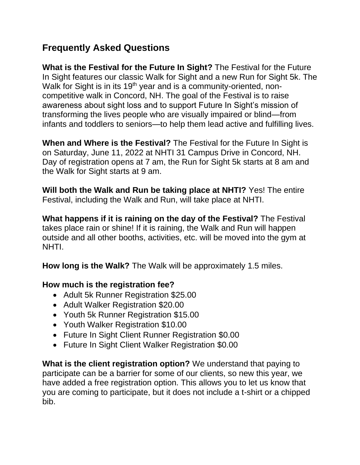## **Frequently Asked Questions**

**What is the Festival for the Future In Sight?** The Festival for the Future In Sight features our classic Walk for Sight and a new Run for Sight 5k. The Walk for Sight is in its 19<sup>th</sup> year and is a community-oriented, noncompetitive walk in Concord, NH. The goal of the Festival is to raise awareness about sight loss and to support Future In Sight's mission of transforming the lives people who are visually impaired or blind—from infants and toddlers to seniors—to help them lead active and fulfilling lives.

**When and Where is the Festival?** The Festival for the Future In Sight is on Saturday, June 11, 2022 at NHTI 31 Campus Drive in Concord, NH. Day of registration opens at 7 am, the Run for Sight 5k starts at 8 am and the Walk for Sight starts at 9 am.

**Will both the Walk and Run be taking place at NHTI?** Yes! The entire Festival, including the Walk and Run, will take place at NHTI.

**What happens if it is raining on the day of the Festival?** The Festival takes place rain or shine! If it is raining, the Walk and Run will happen outside and all other booths, activities, etc. will be moved into the gym at NHTI.

**How long is the Walk?** The Walk will be approximately 1.5 miles.

## **How much is the registration fee?**

- Adult 5k Runner Registration \$25.00
- Adult Walker Registration \$20.00
- Youth 5k Runner Registration \$15.00
- Youth Walker Registration \$10.00
- Future In Sight Client Runner Registration \$0.00
- Future In Sight Client Walker Registration \$0.00

**What is the client registration option?** We understand that paying to participate can be a barrier for some of our clients, so new this year, we have added a free registration option. This allows you to let us know that you are coming to participate, but it does not include a t-shirt or a chipped bib.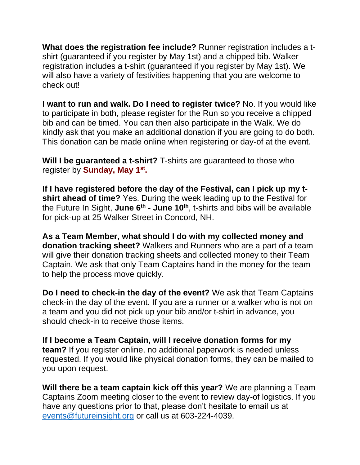**What does the registration fee include?** Runner registration includes a tshirt (guaranteed if you register by May 1st) and a chipped bib. Walker registration includes a t-shirt (guaranteed if you register by May 1st). We will also have a variety of festivities happening that you are welcome to check out!

**I want to run and walk. Do I need to register twice?** No. If you would like to participate in both, please register for the Run so you receive a chipped bib and can be timed. You can then also participate in the Walk. We do kindly ask that you make an additional donation if you are going to do both. This donation can be made online when registering or day-of at the event.

**Will I be guaranteed a t-shirt?** T-shirts are guaranteed to those who register by **Sunday, May 1st .**

**If I have registered before the day of the Festival, can I pick up my tshirt ahead of time?** Yes. During the week leading up to the Festival for the Future In Sight, **June 6 th - June 10th**, t-shirts and bibs will be available for pick-up at 25 Walker Street in Concord, NH.

**As a Team Member, what should I do with my collected money and donation tracking sheet?** Walkers and Runners who are a part of a team will give their donation tracking sheets and collected money to their Team Captain. We ask that only Team Captains hand in the money for the team to help the process move quickly.

**Do I need to check-in the day of the event?** We ask that Team Captains check-in the day of the event. If you are a runner or a walker who is not on a team and you did not pick up your bib and/or t-shirt in advance, you should check-in to receive those items.

**If I become a Team Captain, will I receive donation forms for my team?** If you register online, no additional paperwork is needed unless requested. If you would like physical donation forms, they can be mailed to you upon request.

**Will there be a team captain kick off this year?** We are planning a Team Captains Zoom meeting closer to the event to review day-of logistics. If you have any questions prior to that, please don't hesitate to email us at [events@futureinsight.org](mailto:events@futureinsight.org) or call us at 603-224-4039.